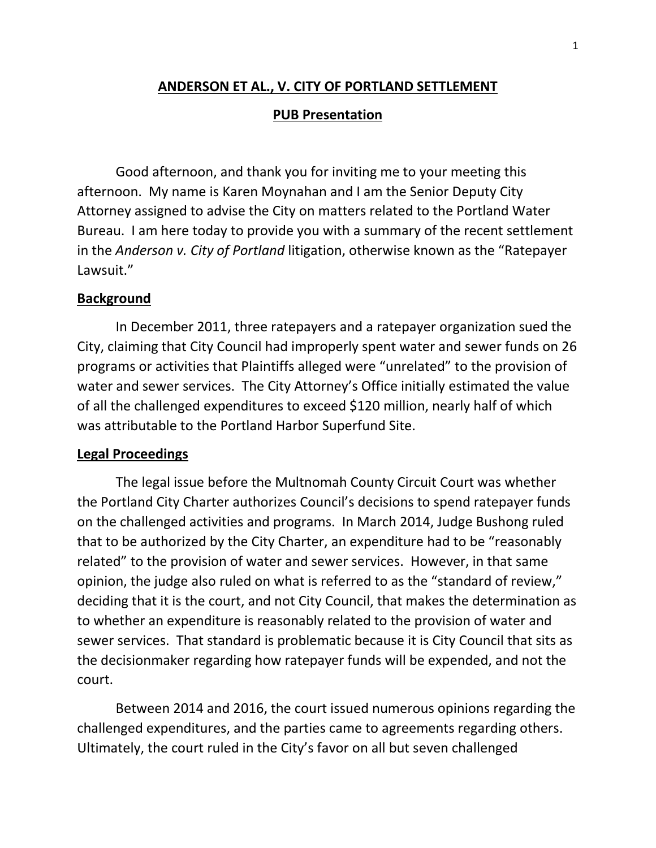### **ANDERSON ET AL., V. CITY OF PORTLAND SETTLEMENT**

#### **PUB Presentation**

Good afternoon, and thank you for inviting me to your meeting this afternoon. My name is Karen Moynahan and I am the Senior Deputy City Attorney assigned to advise the City on matters related to the Portland Water Bureau. I am here today to provide you with a summary of the recent settlement in the *Anderson v. City of Portland* litigation, otherwise known as the "Ratepayer Lawsuit."

#### **Background**

In December 2011, three ratepayers and a ratepayer organization sued the City, claiming that City Council had improperly spent water and sewer funds on 26 programs or activities that Plaintiffs alleged were "unrelated" to the provision of water and sewer services. The City Attorney's Office initially estimated the value of all the challenged expenditures to exceed \$120 million, nearly half of which was attributable to the Portland Harbor Superfund Site.

#### **Legal Proceedings**

The legal issue before the Multnomah County Circuit Court was whether the Portland City Charter authorizes Council's decisions to spend ratepayer funds on the challenged activities and programs. In March 2014, Judge Bushong ruled that to be authorized by the City Charter, an expenditure had to be "reasonably related" to the provision of water and sewer services. However, in that same opinion, the judge also ruled on what is referred to as the "standard of review," deciding that it is the court, and not City Council, that makes the determination as to whether an expenditure is reasonably related to the provision of water and sewer services. That standard is problematic because it is City Council that sits as the decisionmaker regarding how ratepayer funds will be expended, and not the court.

Between 2014 and 2016, the court issued numerous opinions regarding the challenged expenditures, and the parties came to agreements regarding others. Ultimately, the court ruled in the City's favor on all but seven challenged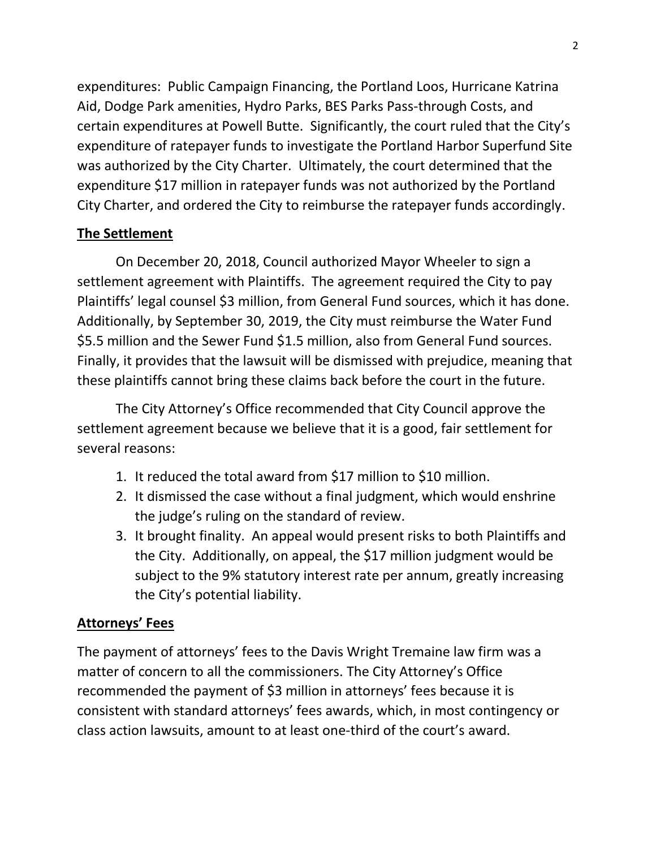expenditures: Public Campaign Financing, the Portland Loos, Hurricane Katrina Aid, Dodge Park amenities, Hydro Parks, BES Parks Pass-through Costs, and certain expenditures at Powell Butte. Significantly, the court ruled that the City's expenditure of ratepayer funds to investigate the Portland Harbor Superfund Site was authorized by the City Charter. Ultimately, the court determined that the expenditure \$17 million in ratepayer funds was not authorized by the Portland City Charter, and ordered the City to reimburse the ratepayer funds accordingly.

# **The Settlement**

On December 20, 2018, Council authorized Mayor Wheeler to sign a settlement agreement with Plaintiffs. The agreement required the City to pay Plaintiffs' legal counsel \$3 million, from General Fund sources, which it has done. Additionally, by September 30, 2019, the City must reimburse the Water Fund \$5.5 million and the Sewer Fund \$1.5 million, also from General Fund sources. Finally, it provides that the lawsuit will be dismissed with prejudice, meaning that these plaintiffs cannot bring these claims back before the court in the future.

The City Attorney's Office recommended that City Council approve the settlement agreement because we believe that it is a good, fair settlement for several reasons:

- 1. It reduced the total award from \$17 million to \$10 million.
- 2. It dismissed the case without a final judgment, which would enshrine the judge's ruling on the standard of review.
- 3. It brought finality. An appeal would present risks to both Plaintiffs and the City. Additionally, on appeal, the \$17 million judgment would be subject to the 9% statutory interest rate per annum, greatly increasing the City's potential liability.

## **Attorneys' Fees**

The payment of attorneys' fees to the Davis Wright Tremaine law firm was a matter of concern to all the commissioners. The City Attorney's Office recommended the payment of \$3 million in attorneys' fees because it is consistent with standard attorneys' fees awards, which, in most contingency or class action lawsuits, amount to at least one-third of the court's award.